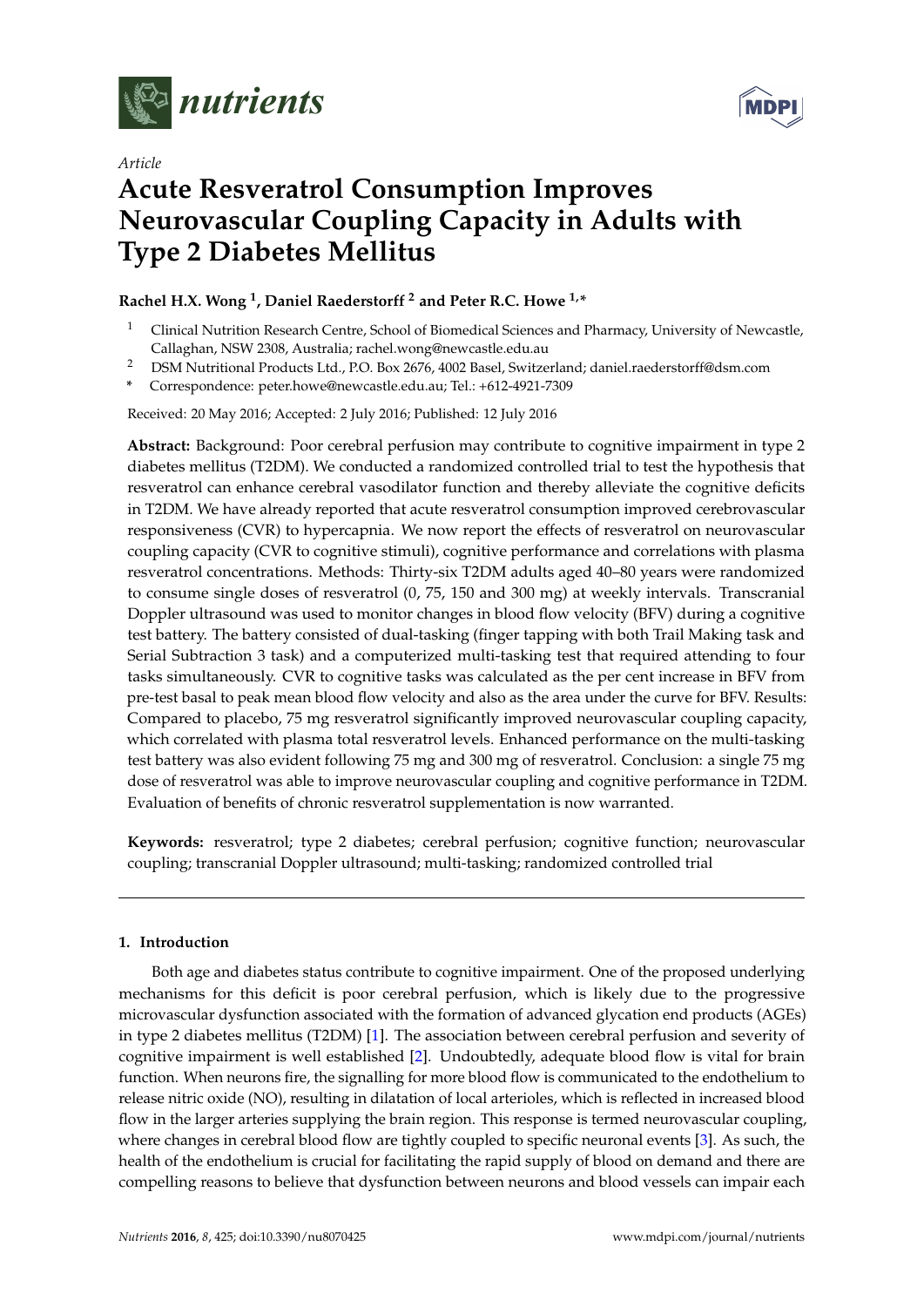

*Article*



# **Acute Resveratrol Consumption Improves Neurovascular Coupling Capacity in Adults with Type 2 Diabetes Mellitus**

## **Rachel H.X. Wong <sup>1</sup> , Daniel Raederstorff <sup>2</sup> and Peter R.C. Howe 1,\***

- <sup>1</sup> Clinical Nutrition Research Centre, School of Biomedical Sciences and Pharmacy, University of Newcastle, Callaghan, NSW 2308, Australia; rachel.wong@newcastle.edu.au
- <sup>2</sup> DSM Nutritional Products Ltd., P.O. Box 2676, 4002 Basel, Switzerland; daniel.raederstorff@dsm.com
- **\*** Correspondence: peter.howe@newcastle.edu.au; Tel.: +612-4921-7309

Received: 20 May 2016; Accepted: 2 July 2016; Published: 12 July 2016

**Abstract:** Background: Poor cerebral perfusion may contribute to cognitive impairment in type 2 diabetes mellitus (T2DM). We conducted a randomized controlled trial to test the hypothesis that resveratrol can enhance cerebral vasodilator function and thereby alleviate the cognitive deficits in T2DM. We have already reported that acute resveratrol consumption improved cerebrovascular responsiveness (CVR) to hypercapnia. We now report the effects of resveratrol on neurovascular coupling capacity (CVR to cognitive stimuli), cognitive performance and correlations with plasma resveratrol concentrations. Methods: Thirty-six T2DM adults aged 40–80 years were randomized to consume single doses of resveratrol (0, 75, 150 and 300 mg) at weekly intervals. Transcranial Doppler ultrasound was used to monitor changes in blood flow velocity (BFV) during a cognitive test battery. The battery consisted of dual-tasking (finger tapping with both Trail Making task and Serial Subtraction 3 task) and a computerized multi-tasking test that required attending to four tasks simultaneously. CVR to cognitive tasks was calculated as the per cent increase in BFV from pre-test basal to peak mean blood flow velocity and also as the area under the curve for BFV. Results: Compared to placebo, 75 mg resveratrol significantly improved neurovascular coupling capacity, which correlated with plasma total resveratrol levels. Enhanced performance on the multi-tasking test battery was also evident following 75 mg and 300 mg of resveratrol. Conclusion: a single 75 mg dose of resveratrol was able to improve neurovascular coupling and cognitive performance in T2DM. Evaluation of benefits of chronic resveratrol supplementation is now warranted.

**Keywords:** resveratrol; type 2 diabetes; cerebral perfusion; cognitive function; neurovascular coupling; transcranial Doppler ultrasound; multi-tasking; randomized controlled trial

### **1. Introduction**

Both age and diabetes status contribute to cognitive impairment. One of the proposed underlying mechanisms for this deficit is poor cerebral perfusion, which is likely due to the progressive microvascular dysfunction associated with the formation of advanced glycation end products (AGEs) in type 2 diabetes mellitus (T2DM) [\[1\]](#page-8-0). The association between cerebral perfusion and severity of cognitive impairment is well established [\[2\]](#page-8-1). Undoubtedly, adequate blood flow is vital for brain function. When neurons fire, the signalling for more blood flow is communicated to the endothelium to release nitric oxide (NO), resulting in dilatation of local arterioles, which is reflected in increased blood flow in the larger arteries supplying the brain region. This response is termed neurovascular coupling, where changes in cerebral blood flow are tightly coupled to specific neuronal events [\[3\]](#page-8-2). As such, the health of the endothelium is crucial for facilitating the rapid supply of blood on demand and there are compelling reasons to believe that dysfunction between neurons and blood vessels can impair each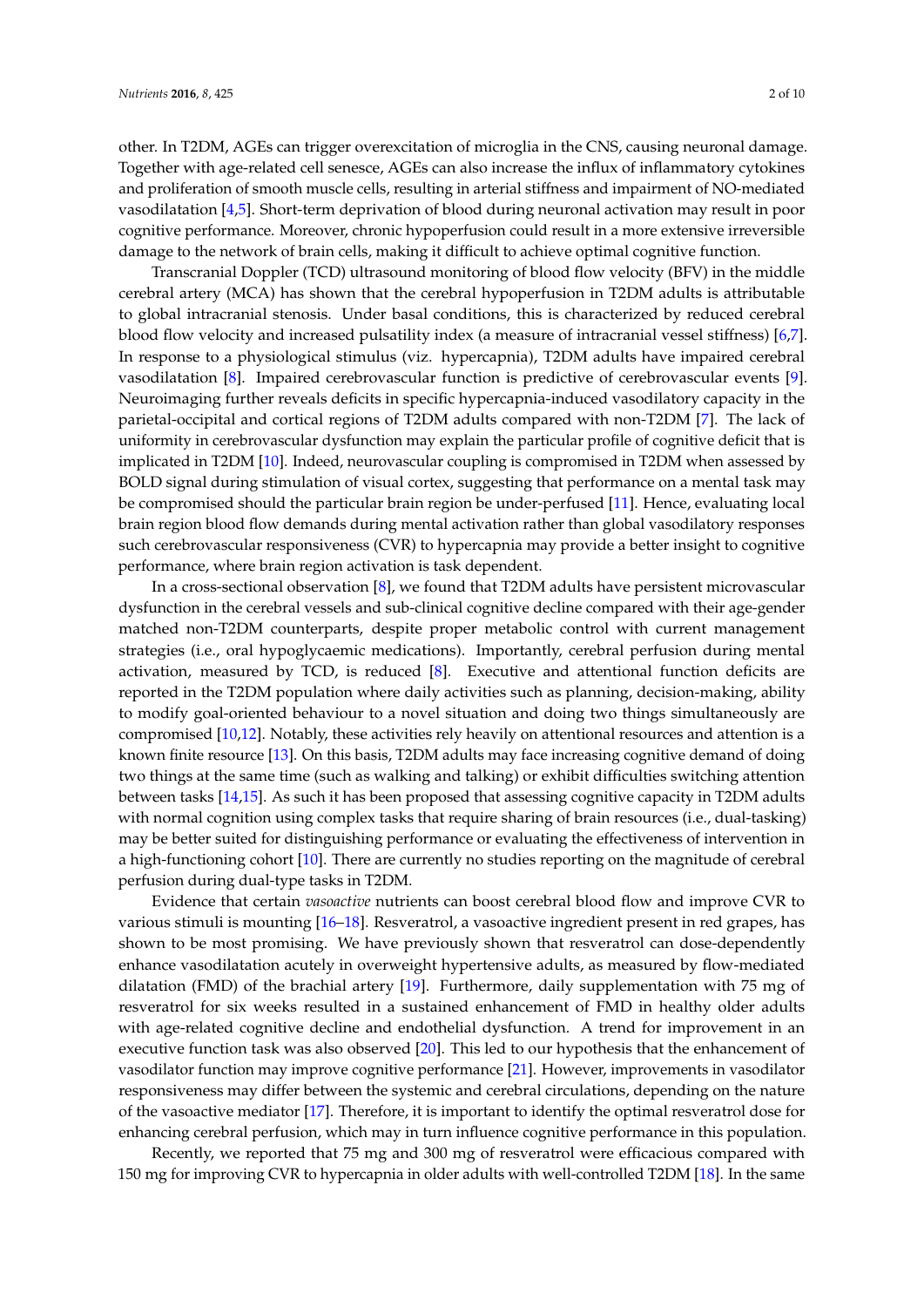other. In T2DM, AGEs can trigger overexcitation of microglia in the CNS, causing neuronal damage. Together with age-related cell senesce, AGEs can also increase the influx of inflammatory cytokines and proliferation of smooth muscle cells, resulting in arterial stiffness and impairment of NO-mediated vasodilatation [\[4,](#page-8-3)[5\]](#page-8-4). Short-term deprivation of blood during neuronal activation may result in poor cognitive performance. Moreover, chronic hypoperfusion could result in a more extensive irreversible damage to the network of brain cells, making it difficult to achieve optimal cognitive function.

Transcranial Doppler (TCD) ultrasound monitoring of blood flow velocity (BFV) in the middle cerebral artery (MCA) has shown that the cerebral hypoperfusion in T2DM adults is attributable to global intracranial stenosis. Under basal conditions, this is characterized by reduced cerebral blood flow velocity and increased pulsatility index (a measure of intracranial vessel stiffness) [\[6,](#page-8-5)[7\]](#page-8-6). In response to a physiological stimulus (viz. hypercapnia), T2DM adults have impaired cerebral vasodilatation [\[8\]](#page-8-7). Impaired cerebrovascular function is predictive of cerebrovascular events [\[9\]](#page-8-8). Neuroimaging further reveals deficits in specific hypercapnia-induced vasodilatory capacity in the parietal-occipital and cortical regions of T2DM adults compared with non-T2DM [\[7\]](#page-8-6). The lack of uniformity in cerebrovascular dysfunction may explain the particular profile of cognitive deficit that is implicated in T2DM [\[10\]](#page-8-9). Indeed, neurovascular coupling is compromised in T2DM when assessed by BOLD signal during stimulation of visual cortex, suggesting that performance on a mental task may be compromised should the particular brain region be under-perfused [\[11\]](#page-8-10). Hence, evaluating local brain region blood flow demands during mental activation rather than global vasodilatory responses such cerebrovascular responsiveness (CVR) to hypercapnia may provide a better insight to cognitive performance, where brain region activation is task dependent.

In a cross-sectional observation [\[8\]](#page-8-7), we found that T2DM adults have persistent microvascular dysfunction in the cerebral vessels and sub-clinical cognitive decline compared with their age-gender matched non-T2DM counterparts, despite proper metabolic control with current management strategies (i.e., oral hypoglycaemic medications). Importantly, cerebral perfusion during mental activation, measured by TCD, is reduced [\[8\]](#page-8-7). Executive and attentional function deficits are reported in the T2DM population where daily activities such as planning, decision-making, ability to modify goal-oriented behaviour to a novel situation and doing two things simultaneously are compromised [\[10](#page-8-9)[,12\]](#page-8-11). Notably, these activities rely heavily on attentional resources and attention is a known finite resource [\[13\]](#page-8-12). On this basis, T2DM adults may face increasing cognitive demand of doing two things at the same time (such as walking and talking) or exhibit difficulties switching attention between tasks [\[14](#page-9-0)[,15\]](#page-9-1). As such it has been proposed that assessing cognitive capacity in T2DM adults with normal cognition using complex tasks that require sharing of brain resources (i.e., dual-tasking) may be better suited for distinguishing performance or evaluating the effectiveness of intervention in a high-functioning cohort [\[10\]](#page-8-9). There are currently no studies reporting on the magnitude of cerebral perfusion during dual-type tasks in T2DM.

Evidence that certain *vasoactive* nutrients can boost cerebral blood flow and improve CVR to various stimuli is mounting [\[16–](#page-9-2)[18\]](#page-9-3). Resveratrol, a vasoactive ingredient present in red grapes, has shown to be most promising. We have previously shown that resveratrol can dose-dependently enhance vasodilatation acutely in overweight hypertensive adults, as measured by flow-mediated dilatation (FMD) of the brachial artery [\[19\]](#page-9-4). Furthermore, daily supplementation with 75 mg of resveratrol for six weeks resulted in a sustained enhancement of FMD in healthy older adults with age-related cognitive decline and endothelial dysfunction. A trend for improvement in an executive function task was also observed [\[20\]](#page-9-5). This led to our hypothesis that the enhancement of vasodilator function may improve cognitive performance [\[21\]](#page-9-6). However, improvements in vasodilator responsiveness may differ between the systemic and cerebral circulations, depending on the nature of the vasoactive mediator [\[17\]](#page-9-7). Therefore, it is important to identify the optimal resveratrol dose for enhancing cerebral perfusion, which may in turn influence cognitive performance in this population.

Recently, we reported that 75 mg and 300 mg of resveratrol were efficacious compared with 150 mg for improving CVR to hypercapnia in older adults with well-controlled T2DM [\[18\]](#page-9-3). In the same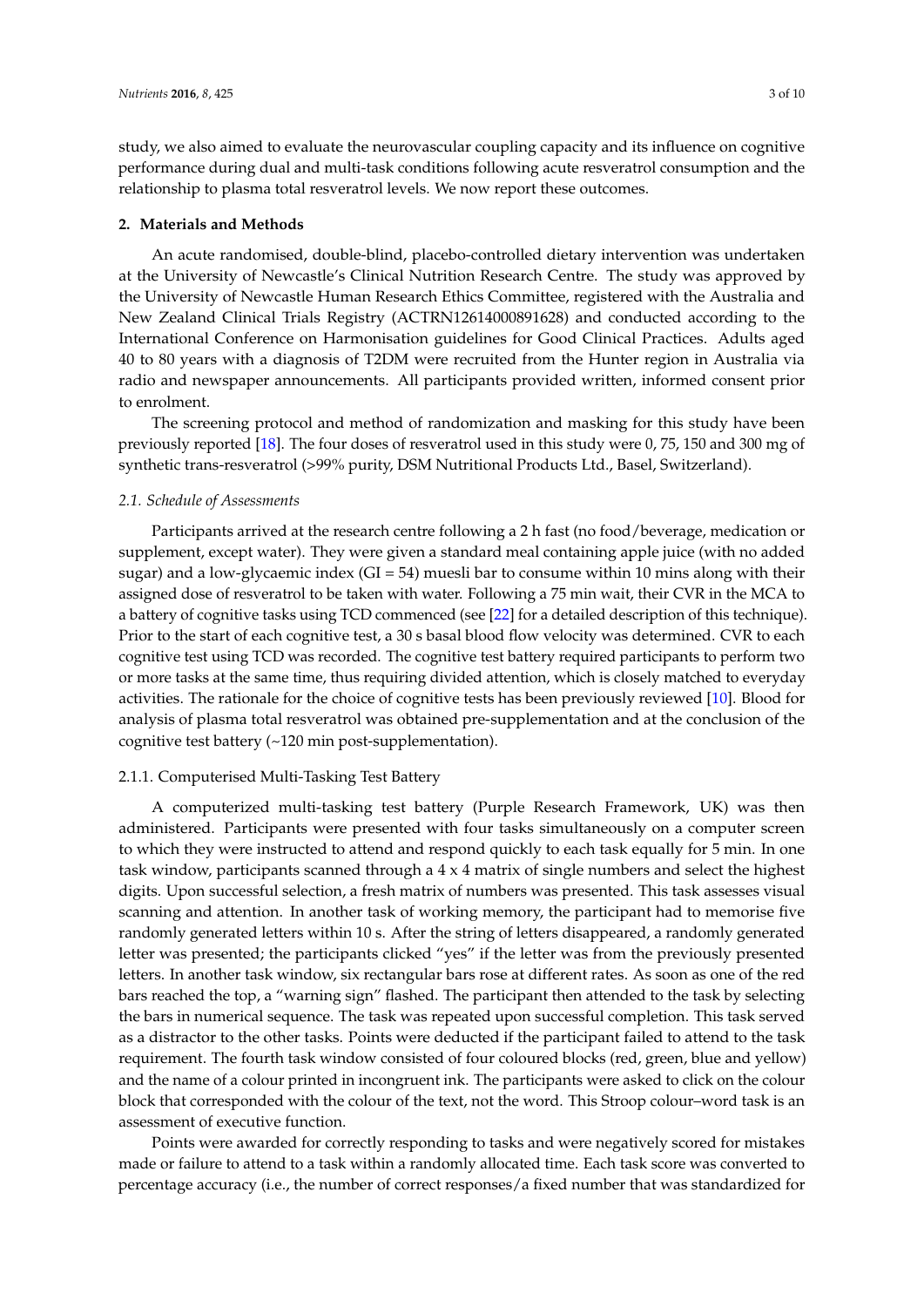study, we also aimed to evaluate the neurovascular coupling capacity and its influence on cognitive performance during dual and multi-task conditions following acute resveratrol consumption and the relationship to plasma total resveratrol levels. We now report these outcomes.

### **2. Materials and Methods**

An acute randomised, double-blind, placebo-controlled dietary intervention was undertaken at the University of Newcastle's Clinical Nutrition Research Centre. The study was approved by the University of Newcastle Human Research Ethics Committee, registered with the Australia and New Zealand Clinical Trials Registry (ACTRN12614000891628) and conducted according to the International Conference on Harmonisation guidelines for Good Clinical Practices. Adults aged 40 to 80 years with a diagnosis of T2DM were recruited from the Hunter region in Australia via radio and newspaper announcements. All participants provided written, informed consent prior to enrolment.

The screening protocol and method of randomization and masking for this study have been previously reported [\[18\]](#page-9-3). The four doses of resveratrol used in this study were 0, 75, 150 and 300 mg of synthetic trans-resveratrol (>99% purity, DSM Nutritional Products Ltd., Basel, Switzerland).

### *2.1. Schedule of Assessments*

Participants arrived at the research centre following a 2 h fast (no food/beverage, medication or supplement, except water). They were given a standard meal containing apple juice (with no added sugar) and a low-glycaemic index  $(GI = 54)$  muesli bar to consume within 10 mins along with their assigned dose of resveratrol to be taken with water. Following a 75 min wait, their CVR in the MCA to a battery of cognitive tasks using TCD commenced (see [\[22\]](#page-9-8) for a detailed description of this technique). Prior to the start of each cognitive test, a 30 s basal blood flow velocity was determined. CVR to each cognitive test using TCD was recorded. The cognitive test battery required participants to perform two or more tasks at the same time, thus requiring divided attention, which is closely matched to everyday activities. The rationale for the choice of cognitive tests has been previously reviewed [\[10\]](#page-8-9). Blood for analysis of plasma total resveratrol was obtained pre-supplementation and at the conclusion of the cognitive test battery (~120 min post-supplementation).

### 2.1.1. Computerised Multi-Tasking Test Battery

A computerized multi-tasking test battery (Purple Research Framework, UK) was then administered. Participants were presented with four tasks simultaneously on a computer screen to which they were instructed to attend and respond quickly to each task equally for 5 min. In one task window, participants scanned through a 4 x 4 matrix of single numbers and select the highest digits. Upon successful selection, a fresh matrix of numbers was presented. This task assesses visual scanning and attention. In another task of working memory, the participant had to memorise five randomly generated letters within 10 s. After the string of letters disappeared, a randomly generated letter was presented; the participants clicked "yes" if the letter was from the previously presented letters. In another task window, six rectangular bars rose at different rates. As soon as one of the red bars reached the top, a "warning sign" flashed. The participant then attended to the task by selecting the bars in numerical sequence. The task was repeated upon successful completion. This task served as a distractor to the other tasks. Points were deducted if the participant failed to attend to the task requirement. The fourth task window consisted of four coloured blocks (red, green, blue and yellow) and the name of a colour printed in incongruent ink. The participants were asked to click on the colour block that corresponded with the colour of the text, not the word. This Stroop colour–word task is an assessment of executive function.

Points were awarded for correctly responding to tasks and were negatively scored for mistakes made or failure to attend to a task within a randomly allocated time. Each task score was converted to percentage accuracy (i.e., the number of correct responses/a fixed number that was standardized for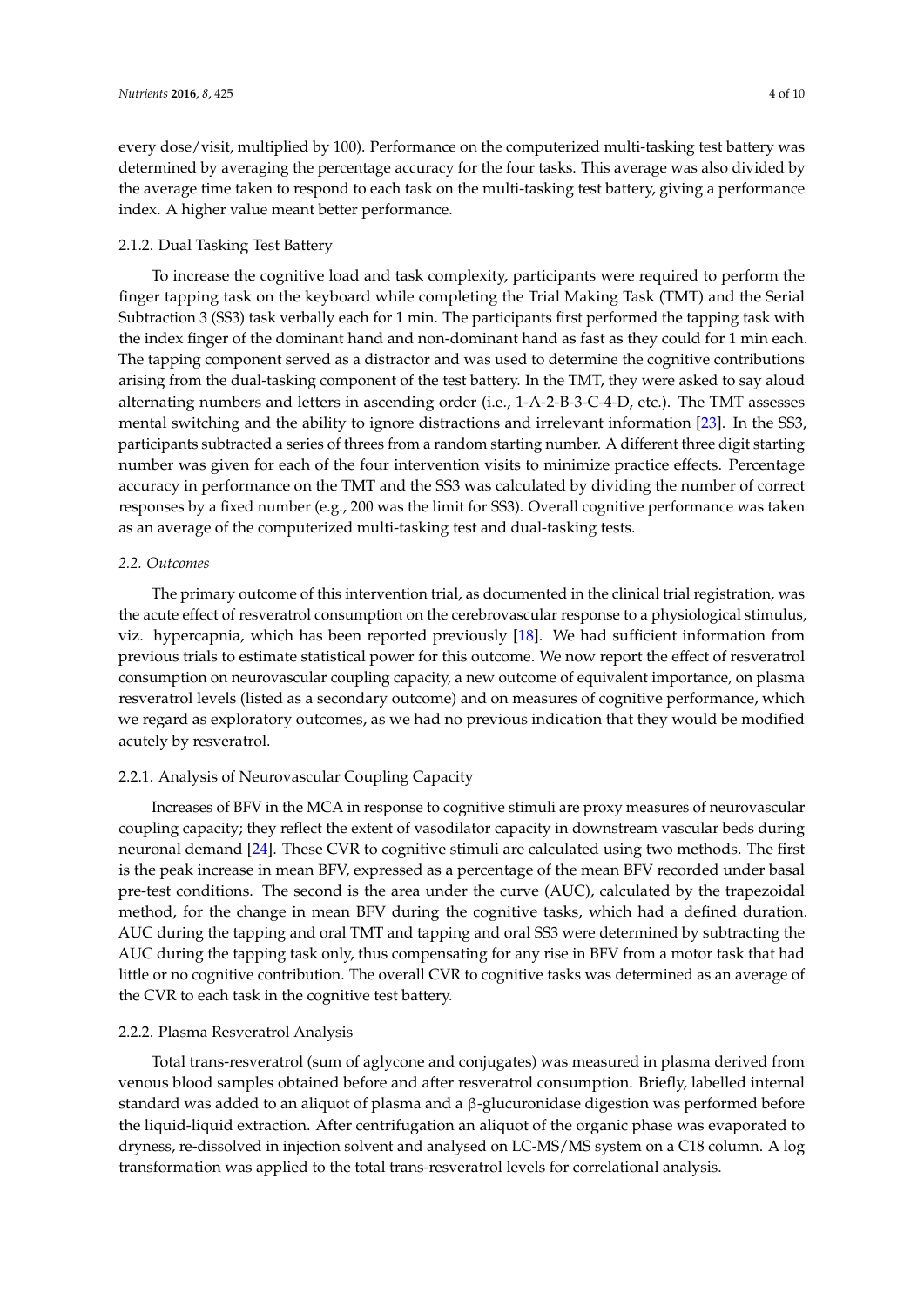every dose/visit, multiplied by 100). Performance on the computerized multi-tasking test battery was determined by averaging the percentage accuracy for the four tasks. This average was also divided by the average time taken to respond to each task on the multi-tasking test battery, giving a performance index. A higher value meant better performance.

### 2.1.2. Dual Tasking Test Battery

To increase the cognitive load and task complexity, participants were required to perform the finger tapping task on the keyboard while completing the Trial Making Task (TMT) and the Serial Subtraction 3 (SS3) task verbally each for 1 min. The participants first performed the tapping task with the index finger of the dominant hand and non-dominant hand as fast as they could for 1 min each. The tapping component served as a distractor and was used to determine the cognitive contributions arising from the dual-tasking component of the test battery. In the TMT, they were asked to say aloud alternating numbers and letters in ascending order (i.e., 1-A-2-B-3-C-4-D, etc.). The TMT assesses mental switching and the ability to ignore distractions and irrelevant information [\[23\]](#page-9-9). In the SS3, participants subtracted a series of threes from a random starting number. A different three digit starting number was given for each of the four intervention visits to minimize practice effects. Percentage accuracy in performance on the TMT and the SS3 was calculated by dividing the number of correct responses by a fixed number (e.g., 200 was the limit for SS3). Overall cognitive performance was taken as an average of the computerized multi-tasking test and dual-tasking tests.

### *2.2. Outcomes*

The primary outcome of this intervention trial, as documented in the clinical trial registration, was the acute effect of resveratrol consumption on the cerebrovascular response to a physiological stimulus, viz. hypercapnia, which has been reported previously [\[18\]](#page-9-3). We had sufficient information from previous trials to estimate statistical power for this outcome. We now report the effect of resveratrol consumption on neurovascular coupling capacity, a new outcome of equivalent importance, on plasma resveratrol levels (listed as a secondary outcome) and on measures of cognitive performance, which we regard as exploratory outcomes, as we had no previous indication that they would be modified acutely by resveratrol.

### 2.2.1. Analysis of Neurovascular Coupling Capacity

Increases of BFV in the MCA in response to cognitive stimuli are proxy measures of neurovascular coupling capacity; they reflect the extent of vasodilator capacity in downstream vascular beds during neuronal demand [\[24\]](#page-9-10). These CVR to cognitive stimuli are calculated using two methods. The first is the peak increase in mean BFV, expressed as a percentage of the mean BFV recorded under basal pre-test conditions. The second is the area under the curve (AUC), calculated by the trapezoidal method, for the change in mean BFV during the cognitive tasks, which had a defined duration. AUC during the tapping and oral TMT and tapping and oral SS3 were determined by subtracting the AUC during the tapping task only, thus compensating for any rise in BFV from a motor task that had little or no cognitive contribution. The overall CVR to cognitive tasks was determined as an average of the CVR to each task in the cognitive test battery.

### 2.2.2. Plasma Resveratrol Analysis

Total trans-resveratrol (sum of aglycone and conjugates) was measured in plasma derived from venous blood samples obtained before and after resveratrol consumption. Briefly, labelled internal standard was added to an aliquot of plasma and a β-glucuronidase digestion was performed before the liquid-liquid extraction. After centrifugation an aliquot of the organic phase was evaporated to dryness, re-dissolved in injection solvent and analysed on LC-MS/MS system on a C18 column. A log transformation was applied to the total trans-resveratrol levels for correlational analysis.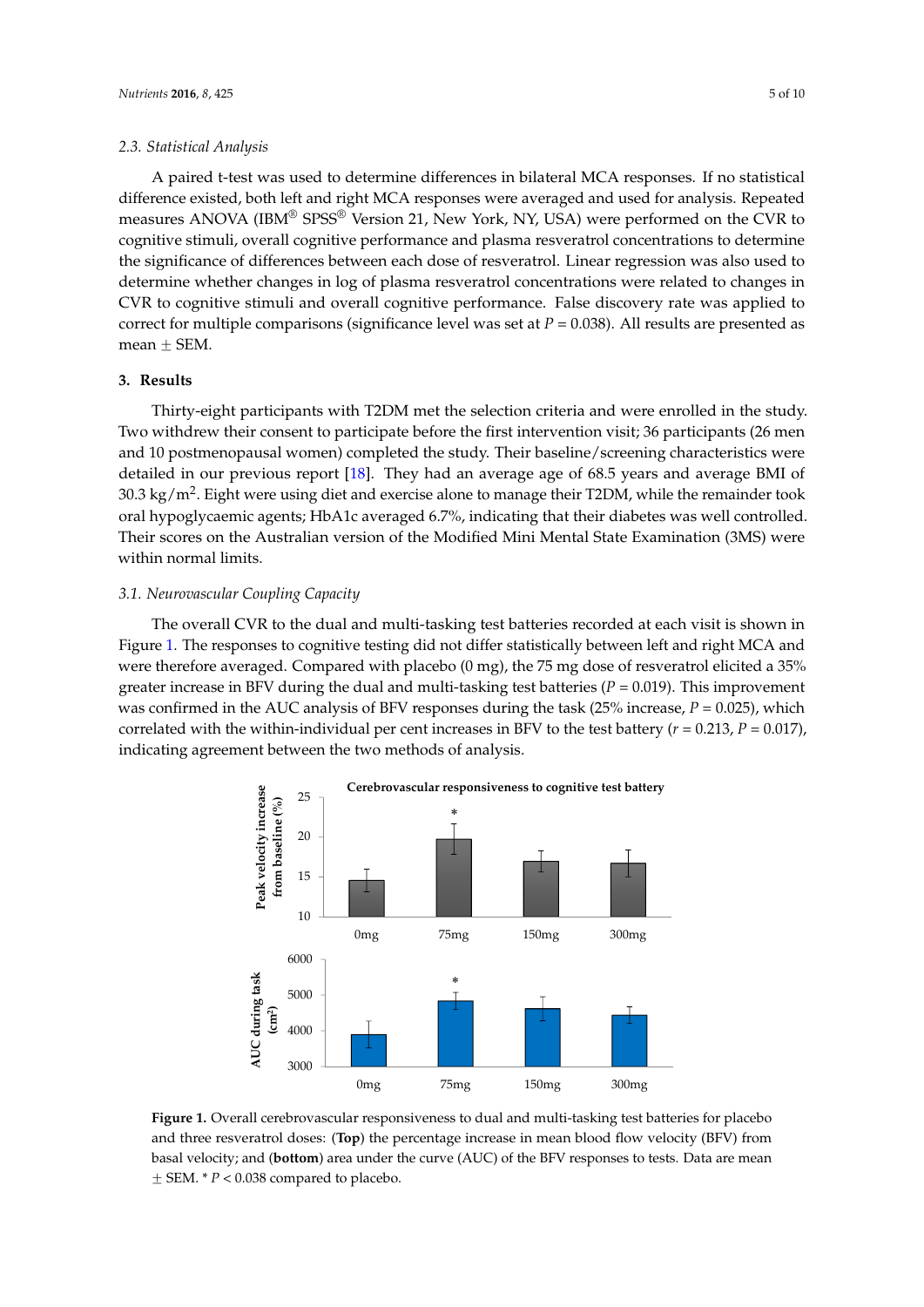A paired t-test was used to determine differences in bilateral MCA responses. If no statistical difference existed, both left and right MCA responses were averaged and used for analysis. Repeated measures ANOVA (IBM® SPSS® Version 21, New York, NY, USA) were performed on the CVR to cognitive stimuli, overall cognitive performance and plasma resveratrol concentrations to determine the significance of differences between each dose of resveratrol. Linear regression was also used to determine whether changes in log of plasma resveratrol concentrations were related to changes in *Nutrients* **2016**, *8*, 425 5 of 10 CVR to cognitive stimuli and overall cognitive performance. False discovery rate was applied to correct for multiple comparisons (significance level was set at  $P = 0.038$ ). All results are presented as mean  $\pm$  SEM.  $r_{\text{min}}$  comparisons (significance lever was set at  $r = 0.036$ ). All results are pro  $t$ mificances between each dose of  $r$ 

#### **3. Results**  $\mathbf S$

Thirty-eight participants with T2DM met the selection criteria and were enrolled in the study. Two withdrew their consent to participate before the first intervention visit; 36 participants (26 men and 10 postmenopausal women) completed the study. Their baseline/screening characteristics were **3. Results** detailed in our previous report [\[18\]](#page-9-3). They had an average age of 68.5 years and average BMI of 30.3 kg/m<sup>2</sup>. Eight were using diet and exercise alone to manage their T2DM, while the remainder took oral hypoglycaemic agents; HbA1c averaged 6.7%, indicating that their diabetes was well controlled. Their scores on the Australian version of the Modified Mini Mental State Examination (3MS) were within normal limits. The agents of the indicating that the indicating that the indicating that the indication of the indication of the indication of the indication of the indication of the indication of the indication of and 10 postmer complete the study women to manage them 120 m/m the the female

# 3.1. Neurovascular Coupling Capacity

The overall CVR to the dual and multi-tasking test batteries recorded at each visit is shown in Figure [1.](#page-4-0) The responses to cognitive testing did not differ statistically between left and right MCA and were therefore averaged. Compared with placebo (0 mg), the 75 mg dose of resveratrol elicited a 35% greater increase in BFV during the dual and multi-tasking test batteries ( $P = 0.019$ ). This improvement was confirmed in the AUC analysis of BFV responses during the task (25% increase,  $P = 0.025$ ), which correlated with the within-individual per cent increases in BFV to the test battery ( $r = 0.213$ ,  $P = 0.017$ ), indicating agreement between the two methods of analysis. a 35% and be<sup>r</sup>y during the dual and multi-tasking test batteries (*P =* 0.019). This imp

<span id="page-4-0"></span>

**Figure 1.** Overall cerebrovascular responsiveness to dual and multi‐tasking test batteries for placebo **Figure 1.** Overall cerebrovascular responsiveness to dual and multi-tasking test batteries for placebo and three resveratrol doses: (**Top**) the percentage increase in mean blood flow velocity (BFV) from and three resveratrol doses: (**Top**) the percentage increase in mean blood flow velocity (BFV) from basal velocity; and (**bottom**) area under the curve (AUC) of the BFV responses to tests. Data are mean basal velocity; and (**bottom**) area under the curve (AUC) of the BFV responses to tests. Data are mean  $\pm$  SEM.  $*$   $P$  < 0.038 compared to placebo.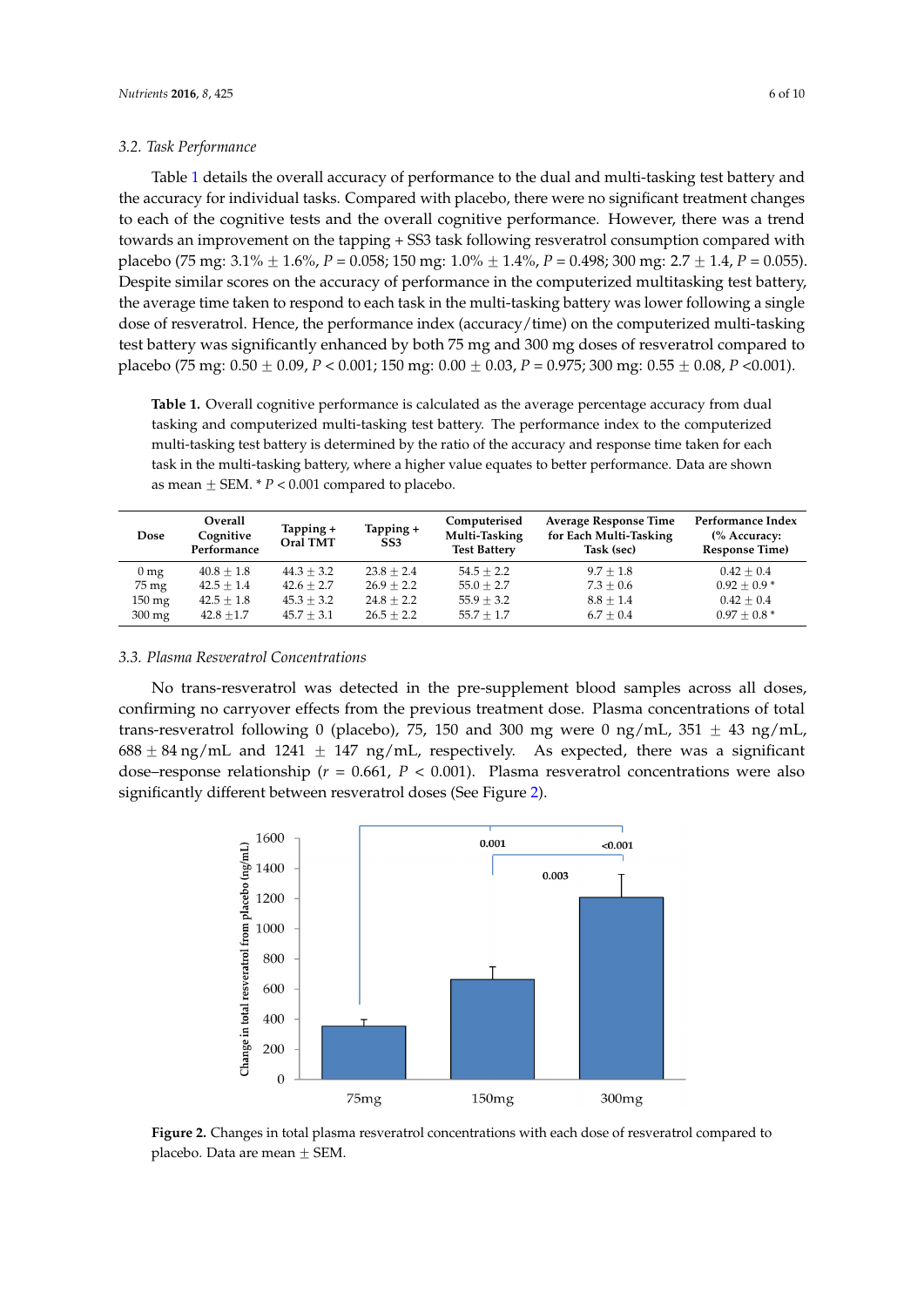#### *3.2. Task Performance*  $t^2$  The Parlomance changes to each of the cognitive tests and the overall condition  $\mathcal{L}_{\mathcal{A}}$

Table 1 details the overall accuracy of performance to the dual and multi-tasking test battery and the accuracy for individual tasks. Compared with placebo, there were no significant treatment changes to each of the cognitive tests and the overall cognitive performance. However, there was a trend towards an improvement on the tapping + SS3 task following resveratrol consumption compared with placebo (75 mg:  $3.1\% \pm 1.6\%$ , *P* = 0.058; 150 mg:  $1.0\% \pm 1.4\%$ , *P* = 0.498; 300 mg:  $2.7 \pm 1.4$ , *P* = 0.055). Despite similar scores on the accuracy of performance in the computerized multitasking test battery, the average time taken to respond to each task in the multi-tasking battery was lower following a single dose of resveratrol. Hence, the performance index (accuracy/time) on the computerized multi-tasking test battery was significantly enhanced by both 75 mg and 300 mg doses of resveratrol compared to placebo (75 mg: 0.50  $\pm$  0.09,  $P$  < 0.001; 150 mg: 0.00  $\pm$  0.03,  $P$  = 0.975; 300 mg: 0.55  $\pm$  0.08,  $P$  <0.001).

<span id="page-5-0"></span>**Table 1.** Overall cognitive performance is calculated as the average percentage accuracy from dual tasking and computerized multi-tasking test battery. The performance index to the computerized multi-tasking test battery is determined by the ratio of the accuracy and response time taken for each task in the multi-tasking battery, where a higher value equates to better performance. Data are shown<br> **PERFORMAN 2001** as mean  $\pm$  SEM.  $*$   $P < 0.001$  compared to placebo.

| Dose                | Overall<br>Cognitive<br>Performance | Tapping +<br><b>Oral TMT</b> | Tapping +<br>SS <sub>3</sub> | Computerised<br>Multi-Tasking<br><b>Test Battery</b> | <b>Average Response Time</b><br>for Each Multi-Tasking<br>Task (sec) | Performance Index<br>(% Accuracy:<br><b>Response Time)</b> |
|---------------------|-------------------------------------|------------------------------|------------------------------|------------------------------------------------------|----------------------------------------------------------------------|------------------------------------------------------------|
| 0 <sub>mg</sub>     | $40.8 \pm 1.8$                      | $44.3 \pm 3.2$               | $23.8 + 2.4$                 | $54.5 + 2.2$                                         | $9.7 + 1.8$                                                          | $0.42 + 0.4$                                               |
| 75 mg               | $42.5 + 1.4$                        | $42.6 + 2.7$                 | $26.9 + 2.2$                 | $55.0 \pm 2.7$                                       | $7.3 + 0.6$                                                          | $0.92 \pm 0.9*$                                            |
| $150 \text{ mg}$    | $42.5 \pm 1.8$                      | $45.3 \pm 3.2$               | $24.8 + 2.2$                 | $55.9 \pm 3.2$                                       | $8.8 \pm 1.4$                                                        | $0.42 + 0.4$                                               |
| $300 \,\mathrm{mg}$ | $42.8 + 1.7$                        | $45.7 + 3.1$                 | $26.5 + 2.2$                 | $55.7 + 1.7$                                         | $6.7 + 0.4$                                                          | $0.97 + 0.8*$                                              |

# *3.3. Plasma Resveratrol Concentrations 3.3. Plasma Resveratrol Concentrations*

No trans-resveratrol was detected in the pre-supplement blood samples across all doses, No trans‐resveratrol was detected in the pre‐supplement blood samples across all doses, confirming no carryover effects from the previous treatment dose. Plasma concentrations of total trans-resveratrol following 0 (placebo), 75, 150 and 300 mg were 0 ng/mL, 351  $\pm$  43 ng/mL,  $688 \pm 84$  ng/mL and  $1241 \pm 147$  ng/mL, respectively. As expected, there was a significant dose–response relationship ( $r = 0.661$ ,  $P < 0.001$ ). Plasma resveratrol concentrations were also significantly different between resveratrol doses (See Figure [2\)](#page-5-1).

<span id="page-5-1"></span>

**Figure 2.** Changes in total plasma resveratrol concentrations with each dose of resveratrol compared **Figure 2.** Changes in total plasma resveratrol concentrations with each dose of resveratrol compared to placebo. Data are mean  $\pm$  SEM.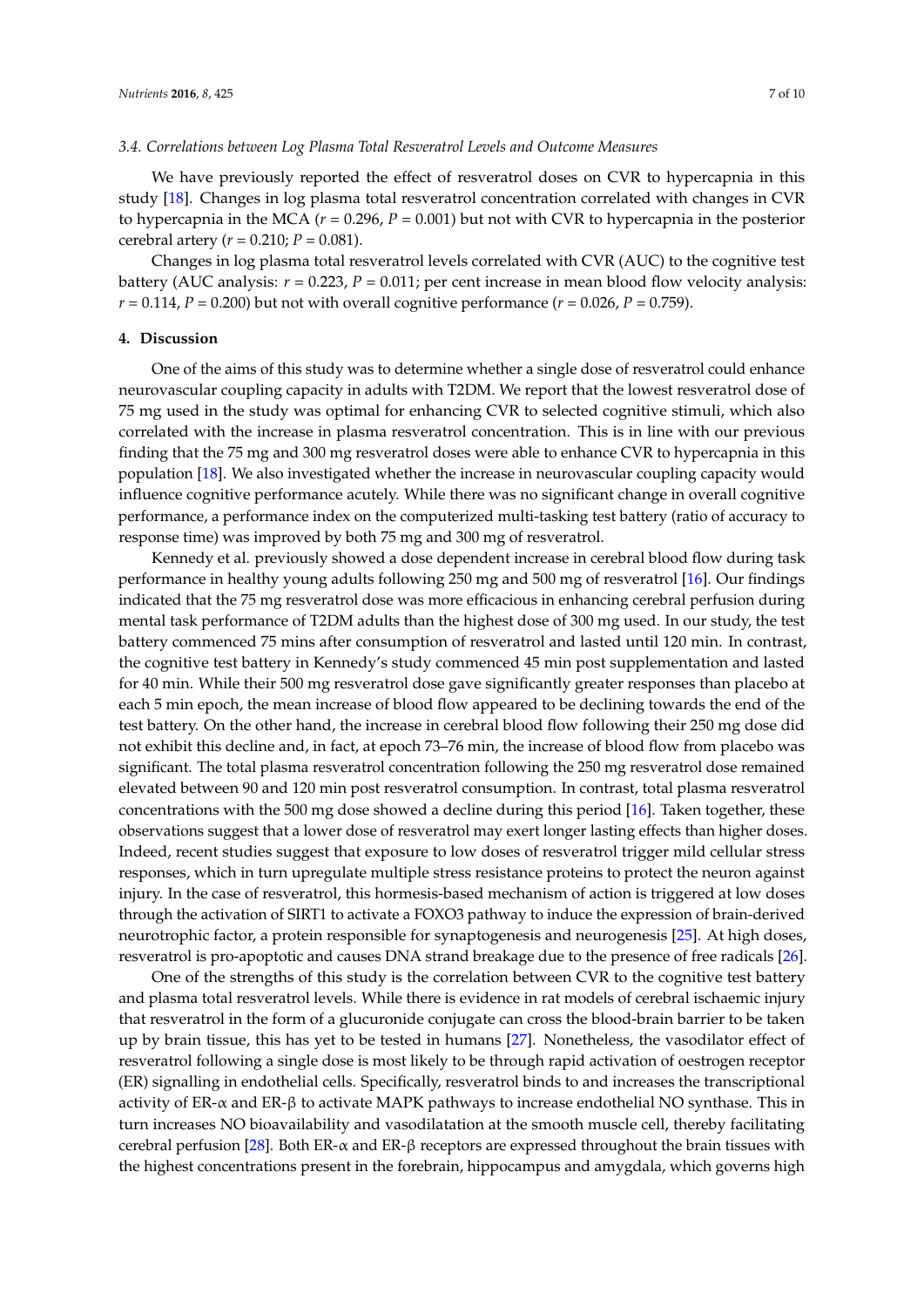### *3.4. Correlations between Log Plasma Total Resveratrol Levels and Outcome Measures*

We have previously reported the effect of resveratrol doses on CVR to hypercapnia in this study [\[18\]](#page-9-3). Changes in log plasma total resveratrol concentration correlated with changes in CVR to hypercapnia in the MCA (*r* = 0.296, *P* = 0.001) but not with CVR to hypercapnia in the posterior cerebral artery (*r* = 0.210; *P* = 0.081).

Changes in log plasma total resveratrol levels correlated with CVR (AUC) to the cognitive test battery (AUC analysis:  $r = 0.223$ ,  $P = 0.011$ ; per cent increase in mean blood flow velocity analysis: *r* = 0.114, *P* = 0.200) but not with overall cognitive performance (*r* = 0.026, *P* = 0.759).

### **4. Discussion**

One of the aims of this study was to determine whether a single dose of resveratrol could enhance neurovascular coupling capacity in adults with T2DM. We report that the lowest resveratrol dose of 75 mg used in the study was optimal for enhancing CVR to selected cognitive stimuli, which also correlated with the increase in plasma resveratrol concentration. This is in line with our previous finding that the 75 mg and 300 mg resveratrol doses were able to enhance CVR to hypercapnia in this population [\[18\]](#page-9-3). We also investigated whether the increase in neurovascular coupling capacity would influence cognitive performance acutely. While there was no significant change in overall cognitive performance, a performance index on the computerized multi-tasking test battery (ratio of accuracy to response time) was improved by both 75 mg and 300 mg of resveratrol.

Kennedy et al. previously showed a dose dependent increase in cerebral blood flow during task performance in healthy young adults following 250 mg and 500 mg of resveratrol [\[16\]](#page-9-2). Our findings indicated that the 75 mg resveratrol dose was more efficacious in enhancing cerebral perfusion during mental task performance of T2DM adults than the highest dose of 300 mg used. In our study, the test battery commenced 75 mins after consumption of resveratrol and lasted until 120 min. In contrast, the cognitive test battery in Kennedy's study commenced 45 min post supplementation and lasted for 40 min. While their 500 mg resveratrol dose gave significantly greater responses than placebo at each 5 min epoch, the mean increase of blood flow appeared to be declining towards the end of the test battery. On the other hand, the increase in cerebral blood flow following their 250 mg dose did not exhibit this decline and, in fact, at epoch 73–76 min, the increase of blood flow from placebo was significant. The total plasma resveratrol concentration following the 250 mg resveratrol dose remained elevated between 90 and 120 min post resveratrol consumption. In contrast, total plasma resveratrol concentrations with the 500 mg dose showed a decline during this period [\[16\]](#page-9-2). Taken together, these observations suggest that a lower dose of resveratrol may exert longer lasting effects than higher doses. Indeed, recent studies suggest that exposure to low doses of resveratrol trigger mild cellular stress responses, which in turn upregulate multiple stress resistance proteins to protect the neuron against injury. In the case of resveratrol, this hormesis-based mechanism of action is triggered at low doses through the activation of SIRT1 to activate a FOXO3 pathway to induce the expression of brain-derived neurotrophic factor, a protein responsible for synaptogenesis and neurogenesis [\[25\]](#page-9-11). At high doses, resveratrol is pro-apoptotic and causes DNA strand breakage due to the presence of free radicals [\[26\]](#page-9-12).

One of the strengths of this study is the correlation between CVR to the cognitive test battery and plasma total resveratrol levels. While there is evidence in rat models of cerebral ischaemic injury that resveratrol in the form of a glucuronide conjugate can cross the blood-brain barrier to be taken up by brain tissue, this has yet to be tested in humans [\[27\]](#page-9-13). Nonetheless, the vasodilator effect of resveratrol following a single dose is most likely to be through rapid activation of oestrogen receptor (ER) signalling in endothelial cells. Specifically, resveratrol binds to and increases the transcriptional activity of ER-α and ER-β to activate MAPK pathways to increase endothelial NO synthase. This in turn increases NO bioavailability and vasodilatation at the smooth muscle cell, thereby facilitating cerebral perfusion [\[28\]](#page-9-14). Both ER- $\alpha$  and ER- $\beta$  receptors are expressed throughout the brain tissues with the highest concentrations present in the forebrain, hippocampus and amygdala, which governs high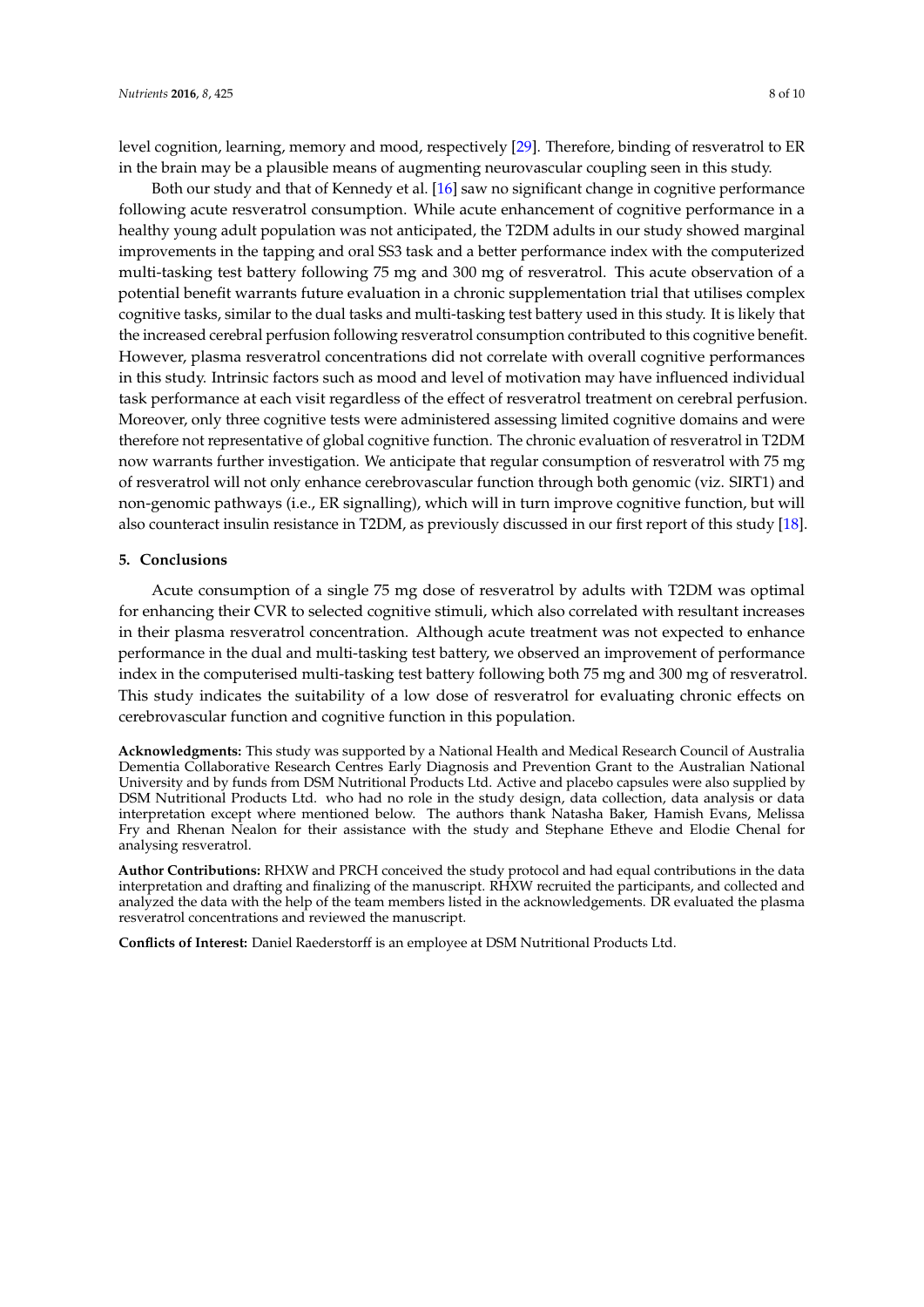level cognition, learning, memory and mood, respectively [\[29\]](#page-9-15). Therefore, binding of resveratrol to ER in the brain may be a plausible means of augmenting neurovascular coupling seen in this study.

Both our study and that of Kennedy et al. [\[16\]](#page-9-2) saw no significant change in cognitive performance following acute resveratrol consumption. While acute enhancement of cognitive performance in a healthy young adult population was not anticipated, the T2DM adults in our study showed marginal improvements in the tapping and oral SS3 task and a better performance index with the computerized multi-tasking test battery following 75 mg and 300 mg of resveratrol. This acute observation of a potential benefit warrants future evaluation in a chronic supplementation trial that utilises complex cognitive tasks, similar to the dual tasks and multi-tasking test battery used in this study. It is likely that the increased cerebral perfusion following resveratrol consumption contributed to this cognitive benefit. However, plasma resveratrol concentrations did not correlate with overall cognitive performances in this study. Intrinsic factors such as mood and level of motivation may have influenced individual task performance at each visit regardless of the effect of resveratrol treatment on cerebral perfusion. Moreover, only three cognitive tests were administered assessing limited cognitive domains and were therefore not representative of global cognitive function. The chronic evaluation of resveratrol in T2DM now warrants further investigation. We anticipate that regular consumption of resveratrol with 75 mg of resveratrol will not only enhance cerebrovascular function through both genomic (viz. SIRT1) and non-genomic pathways (i.e., ER signalling), which will in turn improve cognitive function, but will also counteract insulin resistance in T2DM, as previously discussed in our first report of this study [\[18\]](#page-9-3).

### **5. Conclusions**

Acute consumption of a single 75 mg dose of resveratrol by adults with T2DM was optimal for enhancing their CVR to selected cognitive stimuli, which also correlated with resultant increases in their plasma resveratrol concentration. Although acute treatment was not expected to enhance performance in the dual and multi-tasking test battery, we observed an improvement of performance index in the computerised multi-tasking test battery following both 75 mg and 300 mg of resveratrol. This study indicates the suitability of a low dose of resveratrol for evaluating chronic effects on cerebrovascular function and cognitive function in this population.

**Acknowledgments:** This study was supported by a National Health and Medical Research Council of Australia Dementia Collaborative Research Centres Early Diagnosis and Prevention Grant to the Australian National University and by funds from DSM Nutritional Products Ltd. Active and placebo capsules were also supplied by DSM Nutritional Products Ltd. who had no role in the study design, data collection, data analysis or data interpretation except where mentioned below. The authors thank Natasha Baker, Hamish Evans, Melissa Fry and Rhenan Nealon for their assistance with the study and Stephane Etheve and Elodie Chenal for analysing resveratrol.

**Author Contributions:** RHXW and PRCH conceived the study protocol and had equal contributions in the data interpretation and drafting and finalizing of the manuscript. RHXW recruited the participants, and collected and analyzed the data with the help of the team members listed in the acknowledgements. DR evaluated the plasma resveratrol concentrations and reviewed the manuscript.

**Conflicts of Interest:** Daniel Raederstorff is an employee at DSM Nutritional Products Ltd.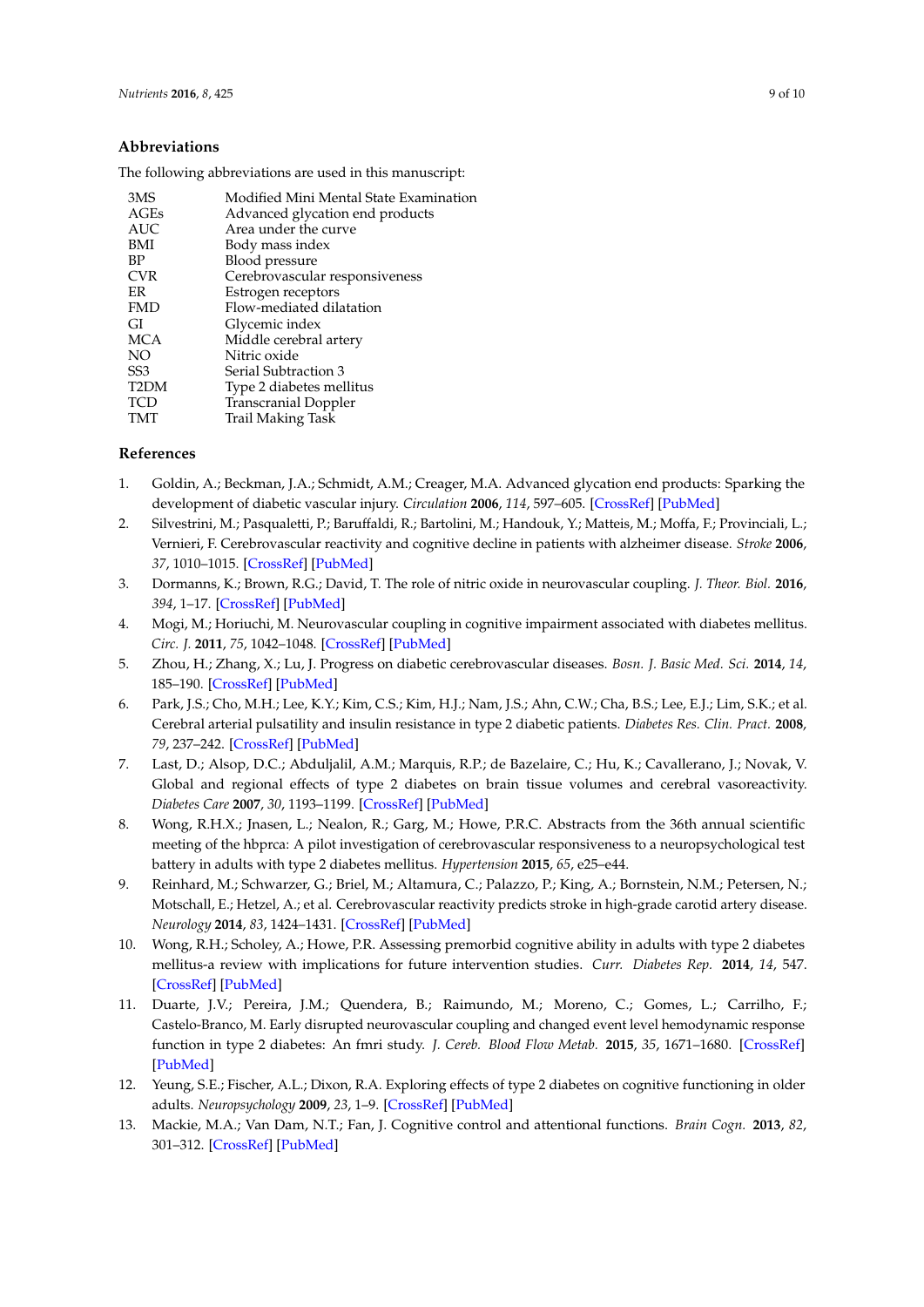### **Abbreviations**

The following abbreviations are used in this manuscript:

| 3MS               | Modified Mini Mental State Examination |
|-------------------|----------------------------------------|
| AGEs              | Advanced glycation end products        |
| <b>AUC</b>        | Area under the curve                   |
| <b>BMI</b>        | Body mass index                        |
| BP                | Blood pressure                         |
| <b>CVR</b>        | Cerebrovascular responsiveness         |
| <b>ER</b>         | Estrogen receptors                     |
| <b>FMD</b>        | Flow-mediated dilatation               |
| GI                | Glycemic index                         |
| <b>MCA</b>        | Middle cerebral artery                 |
| NO                | Nitric oxide                           |
| SS <sub>3</sub>   | Serial Subtraction 3                   |
| T <sub>2</sub> DM | Type 2 diabetes mellitus               |
| TCD               | <b>Transcranial Doppler</b>            |
| TMT               | Trail Making Task                      |
|                   |                                        |

### **References**

- <span id="page-8-0"></span>1. Goldin, A.; Beckman, J.A.; Schmidt, A.M.; Creager, M.A. Advanced glycation end products: Sparking the development of diabetic vascular injury. *Circulation* **2006**, *114*, 597–605. [\[CrossRef\]](http://dx.doi.org/10.1161/CIRCULATIONAHA.106.621854) [\[PubMed\]](http://www.ncbi.nlm.nih.gov/pubmed/16894049)
- <span id="page-8-1"></span>2. Silvestrini, M.; Pasqualetti, P.; Baruffaldi, R.; Bartolini, M.; Handouk, Y.; Matteis, M.; Moffa, F.; Provinciali, L.; Vernieri, F. Cerebrovascular reactivity and cognitive decline in patients with alzheimer disease. *Stroke* **2006**, *37*, 1010–1015. [\[CrossRef\]](http://dx.doi.org/10.1161/01.STR.0000206439.62025.97) [\[PubMed\]](http://www.ncbi.nlm.nih.gov/pubmed/16497984)
- <span id="page-8-2"></span>3. Dormanns, K.; Brown, R.G.; David, T. The role of nitric oxide in neurovascular coupling. *J. Theor. Biol.* **2016**, *394*, 1–17. [\[CrossRef\]](http://dx.doi.org/10.1016/j.jtbi.2016.01.009) [\[PubMed\]](http://www.ncbi.nlm.nih.gov/pubmed/26796228)
- <span id="page-8-3"></span>4. Mogi, M.; Horiuchi, M. Neurovascular coupling in cognitive impairment associated with diabetes mellitus. *Circ. J.* **2011**, *75*, 1042–1048. [\[CrossRef\]](http://dx.doi.org/10.1253/circj.CJ-11-0121) [\[PubMed\]](http://www.ncbi.nlm.nih.gov/pubmed/21441696)
- <span id="page-8-4"></span>5. Zhou, H.; Zhang, X.; Lu, J. Progress on diabetic cerebrovascular diseases. *Bosn. J. Basic Med. Sci.* **2014**, *14*, 185–190. [\[CrossRef\]](http://dx.doi.org/10.17305/bjbms.2014.4.203) [\[PubMed\]](http://www.ncbi.nlm.nih.gov/pubmed/25428668)
- <span id="page-8-5"></span>6. Park, J.S.; Cho, M.H.; Lee, K.Y.; Kim, C.S.; Kim, H.J.; Nam, J.S.; Ahn, C.W.; Cha, B.S.; Lee, E.J.; Lim, S.K.; et al. Cerebral arterial pulsatility and insulin resistance in type 2 diabetic patients. *Diabetes Res. Clin. Pract.* **2008**, *79*, 237–242. [\[CrossRef\]](http://dx.doi.org/10.1016/j.diabres.2007.08.029) [\[PubMed\]](http://www.ncbi.nlm.nih.gov/pubmed/17933415)
- <span id="page-8-6"></span>7. Last, D.; Alsop, D.C.; Abduljalil, A.M.; Marquis, R.P.; de Bazelaire, C.; Hu, K.; Cavallerano, J.; Novak, V. Global and regional effects of type 2 diabetes on brain tissue volumes and cerebral vasoreactivity. *Diabetes Care* **2007**, *30*, 1193–1199. [\[CrossRef\]](http://dx.doi.org/10.2337/dc06-2052) [\[PubMed\]](http://www.ncbi.nlm.nih.gov/pubmed/17290035)
- <span id="page-8-7"></span>8. Wong, R.H.X.; Jnasen, L.; Nealon, R.; Garg, M.; Howe, P.R.C. Abstracts from the 36th annual scientific meeting of the hbprca: A pilot investigation of cerebrovascular responsiveness to a neuropsychological test battery in adults with type 2 diabetes mellitus. *Hypertension* **2015**, *65*, e25–e44.
- <span id="page-8-8"></span>9. Reinhard, M.; Schwarzer, G.; Briel, M.; Altamura, C.; Palazzo, P.; King, A.; Bornstein, N.M.; Petersen, N.; Motschall, E.; Hetzel, A.; et al. Cerebrovascular reactivity predicts stroke in high-grade carotid artery disease. *Neurology* **2014**, *83*, 1424–1431. [\[CrossRef\]](http://dx.doi.org/10.1212/WNL.0000000000000888) [\[PubMed\]](http://www.ncbi.nlm.nih.gov/pubmed/25217057)
- <span id="page-8-9"></span>10. Wong, R.H.; Scholey, A.; Howe, P.R. Assessing premorbid cognitive ability in adults with type 2 diabetes mellitus-a review with implications for future intervention studies. *Curr. Diabetes Rep.* **2014**, *14*, 547. [\[CrossRef\]](http://dx.doi.org/10.1007/s11892-014-0547-4) [\[PubMed\]](http://www.ncbi.nlm.nih.gov/pubmed/25273482)
- <span id="page-8-10"></span>11. Duarte, J.V.; Pereira, J.M.; Quendera, B.; Raimundo, M.; Moreno, C.; Gomes, L.; Carrilho, F.; Castelo-Branco, M. Early disrupted neurovascular coupling and changed event level hemodynamic response function in type 2 diabetes: An fmri study. *J. Cereb. Blood Flow Metab.* **2015**, *35*, 1671–1680. [\[CrossRef\]](http://dx.doi.org/10.1038/jcbfm.2015.106) [\[PubMed\]](http://www.ncbi.nlm.nih.gov/pubmed/26058698)
- <span id="page-8-11"></span>12. Yeung, S.E.; Fischer, A.L.; Dixon, R.A. Exploring effects of type 2 diabetes on cognitive functioning in older adults. *Neuropsychology* **2009**, *23*, 1–9. [\[CrossRef\]](http://dx.doi.org/10.1037/a0013849) [\[PubMed\]](http://www.ncbi.nlm.nih.gov/pubmed/19210028)
- <span id="page-8-12"></span>13. Mackie, M.A.; Van Dam, N.T.; Fan, J. Cognitive control and attentional functions. *Brain Cogn.* **2013**, *82*, 301–312. [\[CrossRef\]](http://dx.doi.org/10.1016/j.bandc.2013.05.004) [\[PubMed\]](http://www.ncbi.nlm.nih.gov/pubmed/23792472)